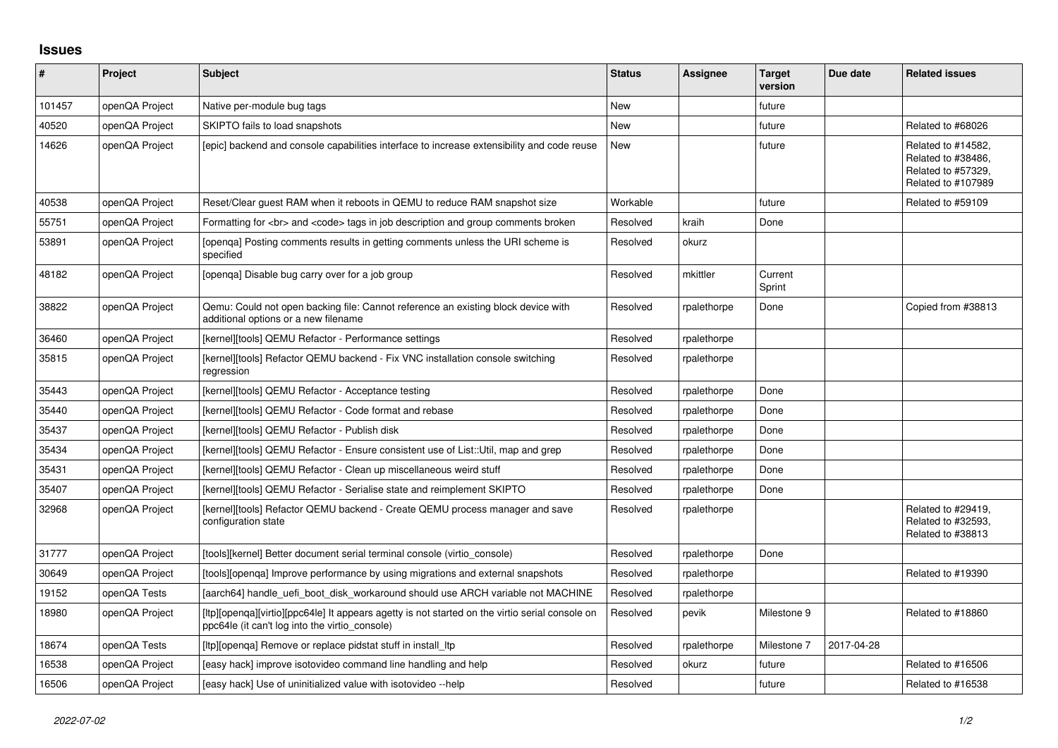## **Issues**

| $\pmb{\#}$ | <b>Project</b> | Subject                                                                                                                                           | <b>Status</b> | Assignee    | <b>Target</b><br>version | Due date   | <b>Related issues</b>                                                                |
|------------|----------------|---------------------------------------------------------------------------------------------------------------------------------------------------|---------------|-------------|--------------------------|------------|--------------------------------------------------------------------------------------|
| 101457     | openQA Project | Native per-module bug tags                                                                                                                        | <b>New</b>    |             | future                   |            |                                                                                      |
| 40520      | openQA Project | SKIPTO fails to load snapshots                                                                                                                    | <b>New</b>    |             | future                   |            | Related to #68026                                                                    |
| 14626      | openQA Project | (epic) backend and console capabilities interface to increase extensibility and code reuse                                                        | New           |             | future                   |            | Related to #14582.<br>Related to #38486,<br>Related to #57329,<br>Related to #107989 |
| 40538      | openQA Project | Reset/Clear guest RAM when it reboots in QEMU to reduce RAM snapshot size                                                                         | Workable      |             | future                   |            | Related to #59109                                                                    |
| 55751      | openQA Project | Formatting for<br>and <code> tags in job description and group comments broken</code>                                                             | Resolved      | kraih       | Done                     |            |                                                                                      |
| 53891      | openQA Project | [openga] Posting comments results in getting comments unless the URI scheme is<br>specified                                                       | Resolved      | okurz       |                          |            |                                                                                      |
| 48182      | openQA Project | [openga] Disable bug carry over for a job group                                                                                                   | Resolved      | mkittler    | Current<br>Sprint        |            |                                                                                      |
| 38822      | openQA Project | Qemu: Could not open backing file: Cannot reference an existing block device with<br>additional options or a new filename                         | Resolved      | rpalethorpe | Done                     |            | Copied from #38813                                                                   |
| 36460      | openQA Project | [kernel][tools] QEMU Refactor - Performance settings                                                                                              | Resolved      | rpalethorpe |                          |            |                                                                                      |
| 35815      | openQA Project | [kernel][tools] Refactor QEMU backend - Fix VNC installation console switching<br>regression                                                      | Resolved      | rpalethorpe |                          |            |                                                                                      |
| 35443      | openQA Project | [kernel][tools] QEMU Refactor - Acceptance testing                                                                                                | Resolved      | rpalethorpe | Done                     |            |                                                                                      |
| 35440      | openQA Project | [kernel][tools] QEMU Refactor - Code format and rebase                                                                                            | Resolved      | rpalethorpe | Done                     |            |                                                                                      |
| 35437      | openQA Project | [kernel][tools] QEMU Refactor - Publish disk                                                                                                      | Resolved      | rpalethorpe | Done                     |            |                                                                                      |
| 35434      | openQA Project | [kernel][tools] QEMU Refactor - Ensure consistent use of List::Util, map and grep                                                                 | Resolved      | rpalethorpe | Done                     |            |                                                                                      |
| 35431      | openQA Project | [kernel][tools] QEMU Refactor - Clean up miscellaneous weird stuff                                                                                | Resolved      | rpalethorpe | Done                     |            |                                                                                      |
| 35407      | openQA Project | [kernel][tools] QEMU Refactor - Serialise state and reimplement SKIPTO                                                                            | Resolved      | rpalethorpe | Done                     |            |                                                                                      |
| 32968      | openQA Project | [kernel][tools] Refactor QEMU backend - Create QEMU process manager and save<br>configuration state                                               | Resolved      | rpalethorpe |                          |            | Related to #29419,<br>Related to #32593,<br>Related to #38813                        |
| 31777      | openQA Project | [tools][kernel] Better document serial terminal console (virtio console)                                                                          | Resolved      | rpalethorpe | Done                     |            |                                                                                      |
| 30649      | openQA Project | [tools][openga] Improve performance by using migrations and external snapshots                                                                    | Resolved      | rpalethorpe |                          |            | Related to #19390                                                                    |
| 19152      | openQA Tests   | [aarch64] handle_uefi_boot_disk_workaround should use ARCH variable not MACHINE                                                                   | Resolved      | rpalethorpe |                          |            |                                                                                      |
| 18980      | openQA Project | [ltp][openqa][virtio][ppc64le] It appears agetty is not started on the virtio serial console on<br>ppc64le (it can't log into the virtio_console) | Resolved      | pevik       | Milestone 9              |            | Related to #18860                                                                    |
| 18674      | openQA Tests   | [ltp][openqa] Remove or replace pidstat stuff in install_ltp                                                                                      | Resolved      | rpalethorpe | Milestone 7              | 2017-04-28 |                                                                                      |
| 16538      | openQA Project | [easy hack] improve isotovideo command line handling and help                                                                                     | Resolved      | okurz       | future                   |            | Related to #16506                                                                    |
| 16506      | openQA Project | [easy hack] Use of uninitialized value with isotovideo --help                                                                                     | Resolved      |             | future                   |            | Related to #16538                                                                    |